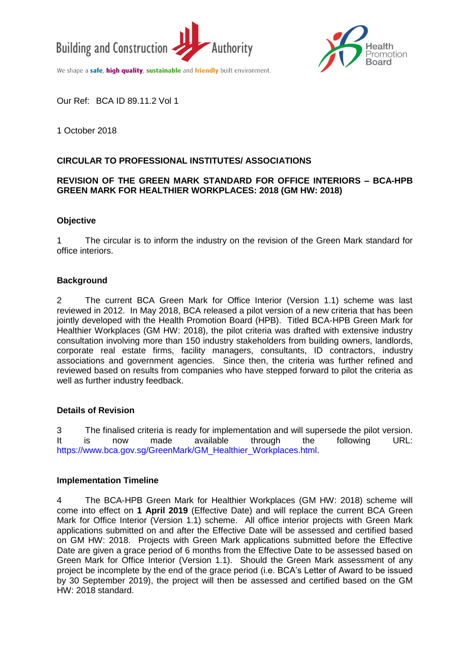



We shape a safe, high quality, sustainable and friendly built environment.

Our Ref: BCA ID 89.11.2 Vol 1

1 October 2018

# **CIRCULAR TO PROFESSIONAL INSTITUTES/ ASSOCIATIONS**

## **REVISION OF THE GREEN MARK STANDARD FOR OFFICE INTERIORS – BCA-HPB GREEN MARK FOR HEALTHIER WORKPLACES: 2018 (GM HW: 2018)**

## **Objective**

1 The circular is to inform the industry on the revision of the Green Mark standard for office interiors.

## **Background**

2 The current BCA Green Mark for Office Interior (Version 1.1) scheme was last reviewed in 2012. In May 2018, BCA released a pilot version of a new criteria that has been jointly developed with the Health Promotion Board (HPB). Titled BCA-HPB Green Mark for Healthier Workplaces (GM HW: 2018), the pilot criteria was drafted with extensive industry consultation involving more than 150 industry stakeholders from building owners, landlords, corporate real estate firms, facility managers, consultants, ID contractors, industry associations and government agencies. Since then, the criteria was further refined and reviewed based on results from companies who have stepped forward to pilot the criteria as well as further industry feedback.

### **Details of Revision**

3 The finalised criteria is ready for implementation and will supersede the pilot version. It is now made available through the following URL: [https://www.bca.gov.sg/GreenMark/GM\\_Healthier\\_Workplaces.html.](https://www.bca.gov.sg/GreenMark/GM_Healthier_Workplaces.html)

### **Implementation Timeline**

4 The BCA-HPB Green Mark for Healthier Workplaces (GM HW: 2018) scheme will come into effect on **1 April 2019** (Effective Date) and will replace the current BCA Green Mark for Office Interior (Version 1.1) scheme. All office interior projects with Green Mark applications submitted on and after the Effective Date will be assessed and certified based on GM HW: 2018. Projects with Green Mark applications submitted before the Effective Date are given a grace period of 6 months from the Effective Date to be assessed based on Green Mark for Office Interior (Version 1.1). Should the Green Mark assessment of any project be incomplete by the end of the grace period (i.e. BCA's Letter of Award to be issued by 30 September 2019), the project will then be assessed and certified based on the GM HW: 2018 standard.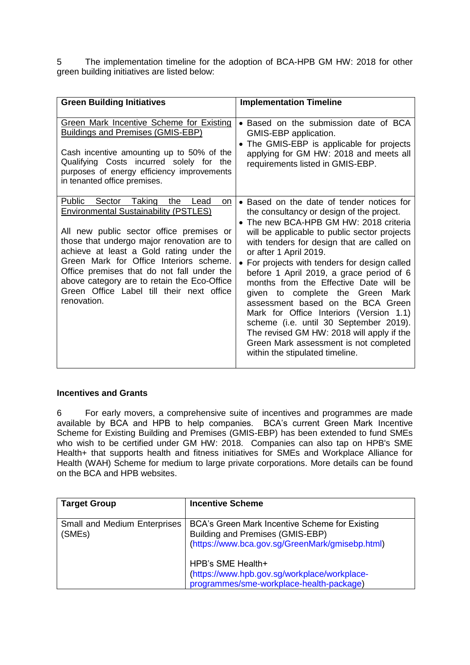5 The implementation timeline for the adoption of BCA-HPB GM HW: 2018 for other green building initiatives are listed below:

| <b>Green Building Initiatives</b>                                                                                                                                                                                                                                                                                                                                                                                                   | <b>Implementation Timeline</b>                                                                                                                                                                                                                                                                                                                                                                                                                                                                                                                                                                                                                                                             |
|-------------------------------------------------------------------------------------------------------------------------------------------------------------------------------------------------------------------------------------------------------------------------------------------------------------------------------------------------------------------------------------------------------------------------------------|--------------------------------------------------------------------------------------------------------------------------------------------------------------------------------------------------------------------------------------------------------------------------------------------------------------------------------------------------------------------------------------------------------------------------------------------------------------------------------------------------------------------------------------------------------------------------------------------------------------------------------------------------------------------------------------------|
| Green Mark Incentive Scheme for Existing<br><b>Buildings and Premises (GMIS-EBP)</b><br>Cash incentive amounting up to 50% of the<br>Qualifying Costs incurred solely for the<br>purposes of energy efficiency improvements<br>in tenanted office premises.                                                                                                                                                                         | • Based on the submission date of BCA<br>GMIS-EBP application.<br>• The GMIS-EBP is applicable for projects<br>applying for GM HW: 2018 and meets all<br>requirements listed in GMIS-EBP.                                                                                                                                                                                                                                                                                                                                                                                                                                                                                                  |
| Public Sector Taking<br>the<br>Lead<br>on<br><b>Environmental Sustainability (PSTLES)</b><br>All new public sector office premises or<br>those that undergo major renovation are to<br>achieve at least a Gold rating under the<br>Green Mark for Office Interiors scheme.<br>Office premises that do not fall under the<br>above category are to retain the Eco-Office<br>Green Office Label till their next office<br>renovation. | • Based on the date of tender notices for<br>the consultancy or design of the project.<br>• The new BCA-HPB GM HW: 2018 criteria<br>will be applicable to public sector projects<br>with tenders for design that are called on<br>or after 1 April 2019.<br>• For projects with tenders for design called<br>before 1 April 2019, a grace period of 6<br>months from the Effective Date will be<br>given to complete the Green<br>Mark<br>assessment based on the BCA Green<br>Mark for Office Interiors (Version 1.1)<br>scheme (i.e. until 30 September 2019).<br>The revised GM HW: 2018 will apply if the<br>Green Mark assessment is not completed<br>within the stipulated timeline. |

## **Incentives and Grants**

6 For early movers, a comprehensive suite of incentives and programmes are made available by BCA and HPB to help companies. BCA's current Green Mark Incentive Scheme for Existing Building and Premises (GMIS-EBP) has been extended to fund SMEs who wish to be certified under GM HW: 2018. Companies can also tap on HPB's SME Health+ that supports health and fitness initiatives for SMEs and Workplace Alliance for Health (WAH) Scheme for medium to large private corporations. More details can be found on the BCA and HPB websites.

| <b>Target Group</b>                           | <b>Incentive Scheme</b>                                                                                                               |
|-----------------------------------------------|---------------------------------------------------------------------------------------------------------------------------------------|
| <b>Small and Medium Enterprises</b><br>(SMEs) | BCA's Green Mark Incentive Scheme for Existing<br>Building and Premises (GMIS-EBP)<br>(https://www.bca.gov.sg/GreenMark/gmisebp.html) |
|                                               | HPB's SME Health+<br>(https://www.hpb.gov.sg/workplace/workplace-<br>programmes/sme-workplace-health-package)                         |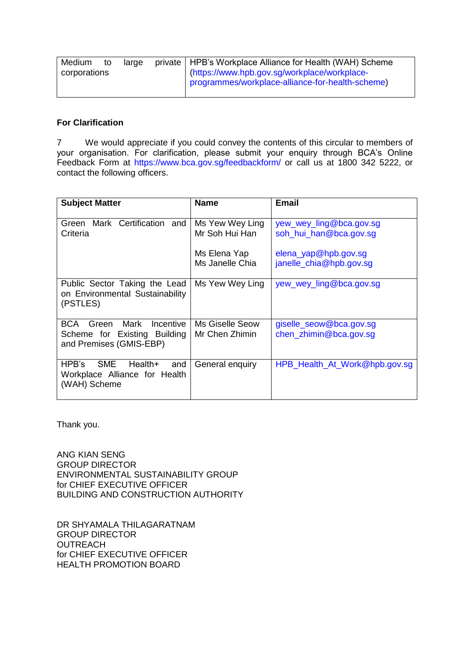| Medium       | to | large                                        | private   HPB's Workplace Alliance for Health (WAH) Scheme |
|--------------|----|----------------------------------------------|------------------------------------------------------------|
| corporations |    | (https://www.hpb.gov.sg/workplace/workplace- |                                                            |
|              |    |                                              | programmes/workplace-alliance-for-health-scheme)           |

#### **For Clarification**

7 We would appreciate if you could convey the contents of this circular to members of your organisation. For clarification, please submit your enquiry through BCA's Online Feedback Form at<https://www.bca.gov.sg/feedbackform/> or call us at 1800 342 5222, or contact the following officers.

| <b>Subject Matter</b>                                                                        | <b>Name</b>                              | <b>Email</b>                                      |
|----------------------------------------------------------------------------------------------|------------------------------------------|---------------------------------------------------|
| Green Mark Certification and<br>Criteria                                                     | Ms Yew Wey Ling<br>Mr Soh Hui Han        | yew_wey_ling@bca.gov.sg<br>soh_hui_han@bca.gov.sg |
|                                                                                              | Ms Elena Yap<br>Ms Janelle Chia          | elena_yap@hpb.gov.sg<br>janelle_chia@hpb.gov.sg   |
| Public Sector Taking the Lead<br>on Environmental Sustainability<br>(PSTLES)                 | Ms Yew Wey Ling                          | yew_wey_ling@bca.gov.sg                           |
| BCA<br>Mark<br>Incentive<br>Green<br>Scheme for Existing Building<br>and Premises (GMIS-EBP) | <b>Ms Giselle Seow</b><br>Mr Chen Zhimin | giselle_seow@bca.gov.sg<br>chen_zhimin@bca.gov.sg |
| SME<br>HPB's<br>Health+<br>and<br>Workplace Alliance for Health<br>(WAH) Scheme              | General enquiry                          | HPB_Health_At_Work@hpb.gov.sg                     |

Thank you.

ANG KIAN SENG GROUP DIRECTOR ENVIRONMENTAL SUSTAINABILITY GROUP for CHIEF EXECUTIVE OFFICER BUILDING AND CONSTRUCTION AUTHORITY

DR SHYAMALA THILAGARATNAM GROUP DIRECTOR **OUTREACH** for CHIEF EXECUTIVE OFFICER HEALTH PROMOTION BOARD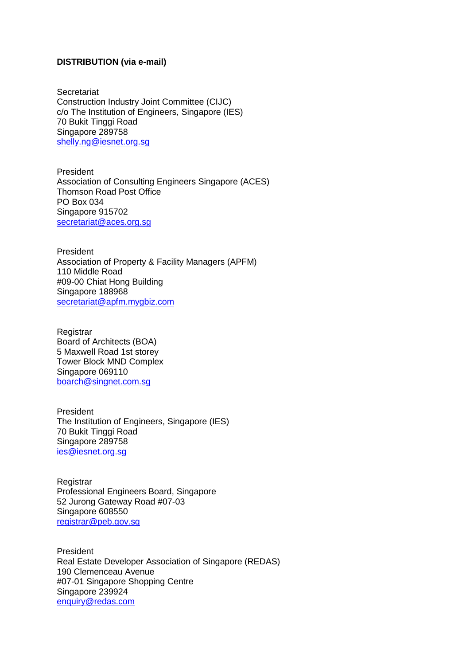#### **DISTRIBUTION (via e-mail)**

**Secretariat** Construction Industry Joint Committee (CIJC) c/o The Institution of Engineers, Singapore (IES) 70 Bukit Tinggi Road Singapore 289758 [shelly.ng@iesnet.org.sg](mailto:shelly.ng@iesnet.org.sg)

President Association of Consulting Engineers Singapore (ACES) Thomson Road Post Office PO Box 034 Singapore 915702 [secretariat@aces.org.sg](mailto:secretariat@aces.org.sg)

President Association of Property & Facility Managers (APFM) 110 Middle Road #09-00 Chiat Hong Building Singapore 188968 [secretariat@apfm.mygbiz.com](mailto:apfm@pacific.net.sg)

**Registrar** Board of Architects (BOA) 5 Maxwell Road 1st storey Tower Block MND Complex Singapore 069110 [boarch@singnet.com.sg](mailto:boarch@singnet.com.sg)

President The Institution of Engineers, Singapore (IES) 70 Bukit Tinggi Road Singapore 289758 [ies@iesnet.org.sg](mailto:ies@iesnet.org.sg)

**Registrar** Professional Engineers Board, Singapore 52 Jurong Gateway Road #07-03 Singapore 608550 [registrar@peb.gov.sg](mailto:registrar@peb.gov.sg)

President Real Estate Developer Association of Singapore (REDAS) 190 Clemenceau Avenue #07-01 Singapore Shopping Centre Singapore 239924 [enquiry@redas.com](mailto:enquiry@redas.com)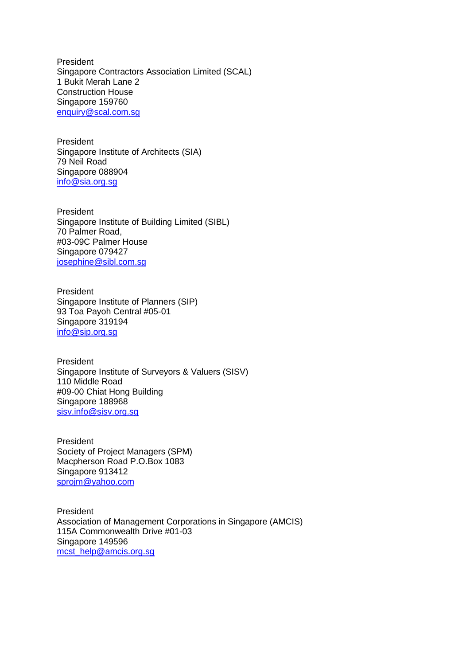President Singapore Contractors Association Limited (SCAL) 1 Bukit Merah Lane 2 Construction House Singapore 159760 [enquiry@scal.com.sg](mailto:enquiry@scal.com.sg)

President Singapore Institute of Architects (SIA) 79 Neil Road Singapore 088904 [info@sia.org.sg](mailto:info@sia.org.sg)

President Singapore Institute of Building Limited (SIBL) 70 Palmer Road, #03-09C Palmer House Singapore 079427 [josephine@sibl.com.sg](mailto:josephine@sibl.com.sg)

President Singapore Institute of Planners (SIP) 93 Toa Payoh Central #05-01 Singapore 319194 [info@sip.org.sg](mailto:info@sip.org.sg)

President Singapore Institute of Surveyors & Valuers (SISV) 110 Middle Road #09-00 Chiat Hong Building Singapore 188968 [sisv.info@sisv.org.sg](mailto:sisv.info@sisv.org.sg)

President Society of Project Managers (SPM) Macpherson Road P.O.Box 1083 Singapore 913412 [sprojm@yahoo.com](mailto:sprojm@yahoo.com)

President Association of Management Corporations in Singapore (AMCIS) 115A Commonwealth Drive #01-03 Singapore 149596 [mcst\\_help@amcis.org.sg](mailto:mcst_help@amcis.org.sg)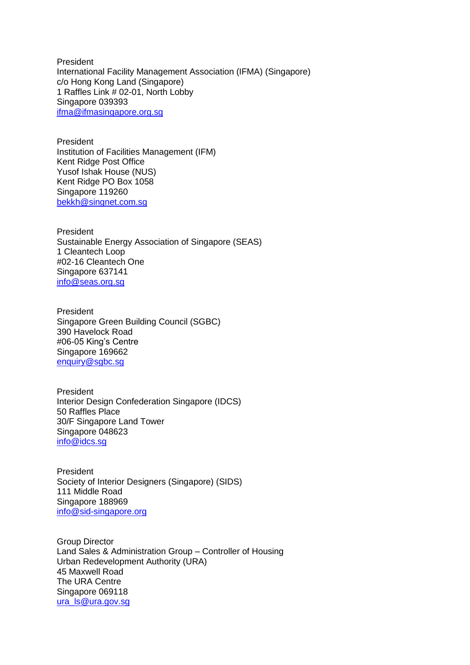President International Facility Management Association (IFMA) (Singapore) c/o Hong Kong Land (Singapore) 1 Raffles Link # 02-01, North Lobby Singapore 039393 [ifma@ifmasingapore.org.sg](mailto:ifma@ifmasingapore.org.sg)

President Institution of Facilities Management (IFM) Kent Ridge Post Office Yusof Ishak House (NUS) Kent Ridge PO Box 1058 Singapore 119260 [bekkh@singnet.com.sg](mailto:bekkh@singnet.com.sg)

President Sustainable Energy Association of Singapore (SEAS) 1 Cleantech Loop #02-16 Cleantech One Singapore 637141 [info@seas.org.sg](mailto:info@seas.org.sg)

President Singapore Green Building Council (SGBC) 390 Havelock Road #06-05 King's Centre Singapore 169662 [enquiry@sgbc.sg](mailto:enquiry@sgbc.sg)

President Interior Design Confederation Singapore (IDCS) 50 Raffles Place 30/F Singapore Land Tower Singapore 048623 [info@idcs.sg](mailto:info@idcs.sg)

President Society of Interior Designers (Singapore) (SIDS) 111 Middle Road Singapore 188969 [info@sid-singapore.org](mailto:info@sid-singapore.org)

Group Director Land Sales & Administration Group – Controller of Housing Urban Redevelopment Authority (URA) 45 Maxwell Road The URA Centre Singapore 069118 [ura\\_ls@ura.gov.sg](mailto:ura_ls@ura.gov.sg)